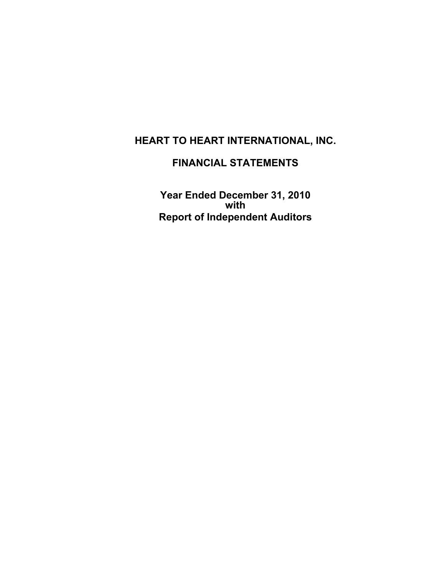## **FINANCIAL STATEMENTS**

**Year Ended December 31, 2010 with Report of Independent Auditors**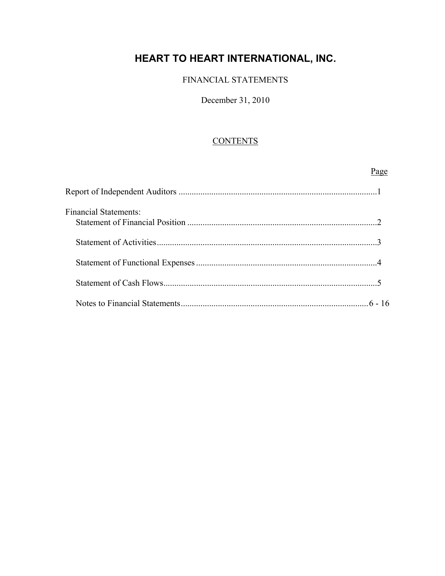#### FINANCIAL STATEMENTS

#### December 31, 2010

#### **CONTENTS**

# Page **Page** Report of Independent Auditors ...........................................................................................1 Financial Statements: Statement of Financial Position .......................................................................................2 Statement of Activities .....................................................................................................3 Statement of Functional Expenses ...................................................................................4 Statement of Cash Flows ..................................................................................................5 Notes to Financial Statements ...................................................................................... 6 - 16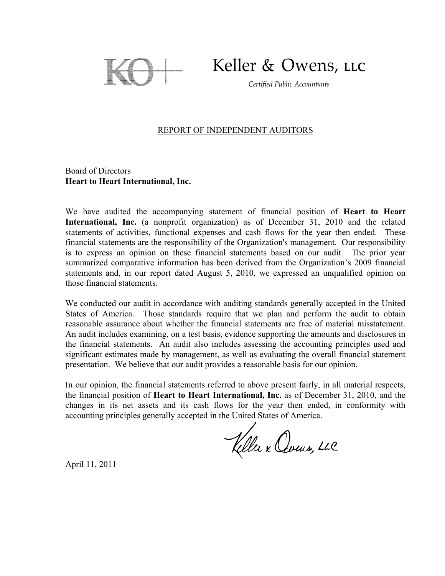

Keller & Owens, LLC

Certified Public Accountants

#### REPORT OF INDEPENDENT AUDITORS

Board of Directors **Heart to Heart International, Inc.** 

We have audited the accompanying statement of financial position of **Heart to Heart International, Inc.** (a nonprofit organization) as of December 31, 2010 and the related statements of activities, functional expenses and cash flows for the year then ended. These financial statements are the responsibility of the Organization's management. Our responsibility is to express an opinion on these financial statements based on our audit. The prior year summarized comparative information has been derived from the Organization's 2009 financial statements and, in our report dated August 5, 2010, we expressed an unqualified opinion on those financial statements.

We conducted our audit in accordance with auditing standards generally accepted in the United States of America. Those standards require that we plan and perform the audit to obtain reasonable assurance about whether the financial statements are free of material misstatement. An audit includes examining, on a test basis, evidence supporting the amounts and disclosures in the financial statements. An audit also includes assessing the accounting principles used and significant estimates made by management, as well as evaluating the overall financial statement presentation. We believe that our audit provides a reasonable basis for our opinion.

In our opinion, the financial statements referred to above present fairly, in all material respects, the financial position of **Heart to Heart International, Inc.** as of December 31, 2010, and the changes in its net assets and its cash flows for the year then ended, in conformity with accounting principles generally accepted in the United States of America.

Keller x Cours, LLC

April 11, 2011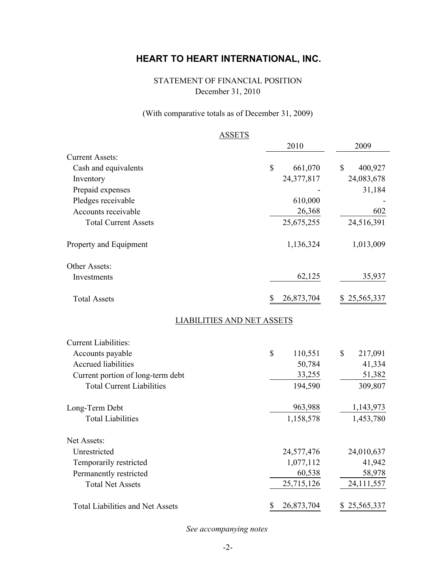### STATEMENT OF FINANCIAL POSITION December 31, 2010

### (With comparative totals as of December 31, 2009)

|                                   | <b>ASSETS</b>                     |                         |
|-----------------------------------|-----------------------------------|-------------------------|
|                                   | 2010                              | 2009                    |
| <b>Current Assets:</b>            |                                   |                         |
| Cash and equivalents              | \$<br>661,070                     | $\mathbb{S}$<br>400,927 |
| Inventory                         | 24,377,817                        | 24,083,678              |
| Prepaid expenses                  |                                   | 31,184                  |
| Pledges receivable                | 610,000                           |                         |
| Accounts receivable               | 26,368                            | 602                     |
| <b>Total Current Assets</b>       | 25, 675, 255                      | 24,516,391              |
| Property and Equipment            | 1,136,324                         | 1,013,009               |
| Other Assets:                     |                                   |                         |
| Investments                       | 62,125                            | 35,937                  |
| <b>Total Assets</b>               | \$<br>26,873,704                  | \$25,565,337            |
|                                   | <b>LIABILITIES AND NET ASSETS</b> |                         |
| <b>Current Liabilities:</b>       |                                   |                         |
| Accounts payable                  | \$<br>110,551                     | \$<br>217,091           |
| <b>Accrued liabilities</b>        | 50,784                            | 41,334                  |
| Current portion of long-term debt | 33,255                            | 51,382                  |
| <b>Total Current Liabilities</b>  | 194,590                           | 309,807                 |
| Long-Term Debt                    | 963,988                           | 1,143,973               |
| <b>Total Liabilities</b>          | 1,158,578                         | 1,453,780               |
| Net Assets:                       |                                   |                         |
| Unrestricted                      | 24,577,476                        | 24,010,637              |
| Temporarily restricted            | 1,077,112                         | 41,942                  |
| Permanently restricted            | 60,538                            | 58,978                  |
| <b>Total Net Assets</b>           | 25,715,126                        | 24,111,557              |
| Total Liabilities and Net Assets  | 26,873,704<br>\$                  | \$25,565,337            |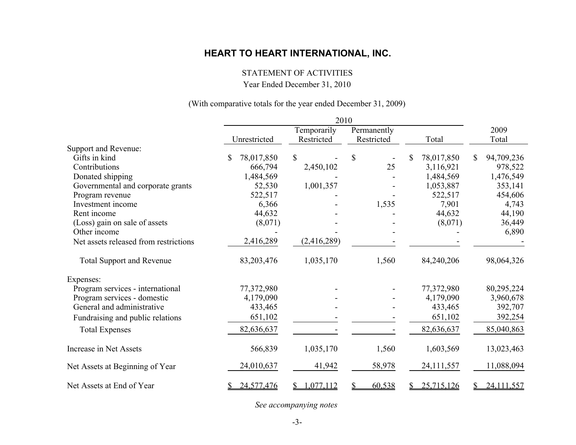#### STATEMENT OF ACTIVITIES

Year Ended December 31, 2010

#### (With comparative totals for the year ended December 31, 2009)

|                                       |                 | 2010            |            |                  |                  |  |
|---------------------------------------|-----------------|-----------------|------------|------------------|------------------|--|
|                                       |                 | Temporarily     |            | Permanently      |                  |  |
|                                       | Unrestricted    | Restricted      | Restricted | Total            | Total            |  |
| Support and Revenue:                  |                 |                 |            |                  |                  |  |
| Gifts in kind                         | 78,017,850<br>S | \$              | \$         | 78,017,850<br>\$ | 94,709,236<br>\$ |  |
| Contributions                         | 666,794         | 2,450,102       | 25         | 3,116,921        | 978,522          |  |
| Donated shipping                      | 1,484,569       |                 |            | 1,484,569        | 1,476,549        |  |
| Governmental and corporate grants     | 52,530          | 1,001,357       |            | 1,053,887        | 353,141          |  |
| Program revenue                       | 522,517         |                 |            | 522,517          | 454,606          |  |
| Investment income                     | 6,366           |                 | 1,535      | 7,901            | 4,743            |  |
| Rent income                           | 44,632          |                 |            | 44,632           | 44,190           |  |
| (Loss) gain on sale of assets         | (8,071)         |                 |            | (8,071)          | 36,449           |  |
| Other income                          |                 |                 |            |                  | 6,890            |  |
| Net assets released from restrictions | 2,416,289       | (2,416,289)     |            |                  |                  |  |
| <b>Total Support and Revenue</b>      | 83,203,476      | 1,035,170       | 1,560      | 84,240,206       | 98,064,326       |  |
| Expenses:                             |                 |                 |            |                  |                  |  |
| Program services - international      | 77,372,980      |                 |            | 77,372,980       | 80,295,224       |  |
| Program services - domestic           | 4,179,090       |                 |            | 4,179,090        | 3,960,678        |  |
| General and administrative            | 433,465         |                 |            | 433,465          | 392,707          |  |
| Fundraising and public relations      | 651,102         |                 |            | 651,102          | 392,254          |  |
| <b>Total Expenses</b>                 | 82,636,637      |                 |            | 82,636,637       | 85,040,863       |  |
| Increase in Net Assets                | 566,839         | 1,035,170       | 1,560      | 1,603,569        | 13,023,463       |  |
| Net Assets at Beginning of Year       | 24,010,637      | 41,942          | 58,978     | 24,111,557       | 11,088,094       |  |
| Net Assets at End of Year             | 24,577,476      | 1,077,112<br>S. | 60,538     | 25,715,126<br>S. | 24,111,557<br>S. |  |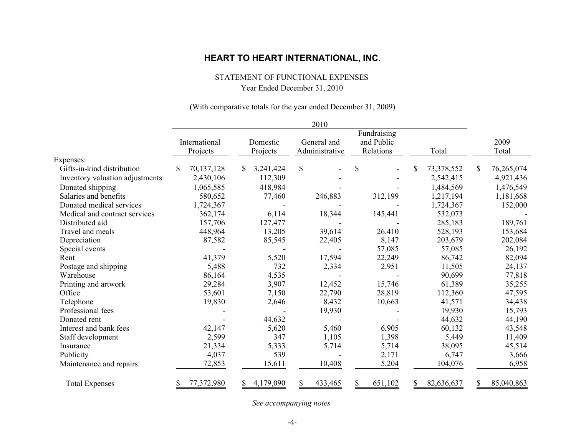STATEMENT OF FUNCTIONAL EXPENSES

Year Ended December 31, 2010

#### (With comparative totals for the year ended December 31, 2009)

|                                 |                           |                      | 2010                          |                                        |                  |                  |
|---------------------------------|---------------------------|----------------------|-------------------------------|----------------------------------------|------------------|------------------|
|                                 | International<br>Projects | Domestic<br>Projects | General and<br>Administrative | Fundraising<br>and Public<br>Relations | Total            | 2009<br>Total    |
| Expenses:                       |                           |                      |                               |                                        |                  |                  |
| Gifts-in-kind distribution      | 70,137,128<br>\$          | 3,241,424            | $\mathbb{S}$                  | \$                                     | 73,378,552       | \$<br>76,265,074 |
| Inventory valuation adjustments | 2,430,106                 | 112,309              |                               |                                        | 2,542,415        | 4,921,436        |
| Donated shipping                | 1,065,585                 | 418,984              |                               |                                        | 1,484,569        | 1,476,549        |
| Salaries and benefits           | 580,652                   | 77,460               | 246,883                       | 312,199                                | 1,217,194        | 1,181,668        |
| Donated medical services        | 1,724,367                 |                      |                               |                                        | 1,724,367        | 152,000          |
| Medical and contract services   | 362,174                   | 6,114                | 18,344                        | 145,441                                | 532,073          |                  |
| Distributed aid                 | 157,706                   | 127,477              |                               |                                        | 285,183          | 189,761          |
| Travel and meals                | 448,964                   | 13,205               | 39,614                        | 26,410                                 | 528,193          | 153,684          |
| Depreciation                    | 87,582                    | 85,545               | 22,405                        | 8,147                                  | 203,679          | 202,084          |
| Special events                  |                           |                      |                               | 57,085                                 | 57,085           | 26,192           |
| Rent                            | 41,379                    | 5,520                | 17,594                        | 22,249                                 | 86,742           | 82,094           |
| Postage and shipping            | 5,488                     | 732                  | 2,334                         | 2,951                                  | 11,505           | 24,137           |
| Warehouse                       | 86,164                    | 4,535                |                               |                                        | 90,699           | 77,818           |
| Printing and artwork            | 29,284                    | 3,907                | 12,452                        | 15,746                                 | 61,389           | 35,255           |
| Office                          | 53,601                    | 7,150                | 22,790                        | 28,819                                 | 112,360          | 47,595           |
| Telephone                       | 19,830                    | 2,646                | 8,432                         | 10,663                                 | 41,571           | 34,438           |
| Professional fees               |                           |                      | 19,930                        |                                        | 19,930           | 15,793           |
| Donated rent                    |                           | 44,632               |                               |                                        | 44,632           | 44,190           |
| Interest and bank fees          | 42,147                    | 5,620                | 5,460                         | 6,905                                  | 60,132           | 43,548           |
| Staff development               | 2,599                     | 347                  | 1,105                         | 1,398                                  | 5,449            | 11,409           |
| Insurance                       | 21,334                    | 5,333                | 5,714                         | 5,714                                  | 38,095           | 45,514           |
| Publicity                       | 4,037                     | 539                  |                               | 2,171                                  | 6,747            | 3,666            |
| Maintenance and repairs         | 72,853                    | 15,611               | 10,408                        | 5,204                                  | 104,076          | 6,958            |
| <b>Total Expenses</b>           | 77,372,980<br>\$          | 4,179,090<br>\$      | \$<br>433,465                 | \$<br>651,102                          | 82,636,637<br>\$ | \$<br>85,040,863 |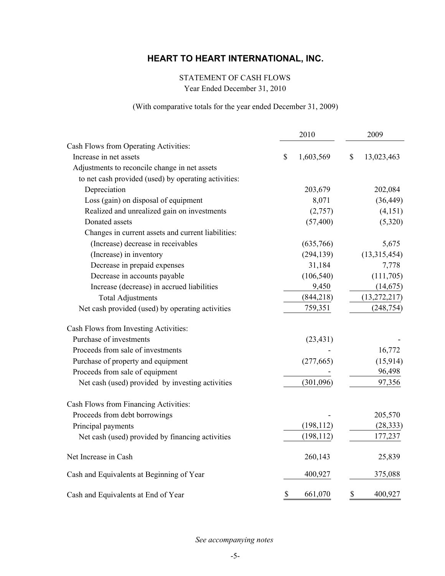## STATEMENT OF CASH FLOWS

Year Ended December 31, 2010

#### (With comparative totals for the year ended December 31, 2009)

|                                                      | 2010 |            | 2009             |
|------------------------------------------------------|------|------------|------------------|
| Cash Flows from Operating Activities:                |      |            |                  |
| Increase in net assets                               | \$   | 1,603,569  | \$<br>13,023,463 |
| Adjustments to reconcile change in net assets        |      |            |                  |
| to net cash provided (used) by operating activities: |      |            |                  |
| Depreciation                                         |      | 203,679    | 202,084          |
| Loss (gain) on disposal of equipment                 |      | 8,071      | (36, 449)        |
| Realized and unrealized gain on investments          |      | (2,757)    | (4, 151)         |
| Donated assets                                       |      | (57, 400)  | (5,320)          |
| Changes in current assets and current liabilities:   |      |            |                  |
| (Increase) decrease in receivables                   |      | (635,766)  | 5,675            |
| (Increase) in inventory                              |      | (294, 139) | (13,315,454)     |
| Decrease in prepaid expenses                         |      | 31,184     | 7,778            |
| Decrease in accounts payable                         |      | (106, 540) | (111, 705)       |
| Increase (decrease) in accrued liabilities           |      | 9,450      | (14, 675)        |
| <b>Total Adjustments</b>                             |      | (844, 218) | (13, 272, 217)   |
| Net cash provided (used) by operating activities     |      | 759,351    | (248, 754)       |
| Cash Flows from Investing Activities:                |      |            |                  |
| Purchase of investments                              |      | (23, 431)  |                  |
| Proceeds from sale of investments                    |      |            | 16,772           |
| Purchase of property and equipment                   |      | (277, 665) | (15, 914)        |
| Proceeds from sale of equipment                      |      |            | 96,498           |
| Net cash (used) provided by investing activities     |      | (301,096)  | 97,356           |
| Cash Flows from Financing Activities:                |      |            |                  |
| Proceeds from debt borrowings                        |      |            | 205,570          |
| Principal payments                                   |      | (198, 112) | (28, 333)        |
| Net cash (used) provided by financing activities     |      | (198, 112) | 177,237          |
| Net Increase in Cash                                 |      | 260,143    | 25,839           |
| Cash and Equivalents at Beginning of Year            |      | 400,927    | 375,088          |
| Cash and Equivalents at End of Year                  | \$   | 661,070    | \$<br>400,927    |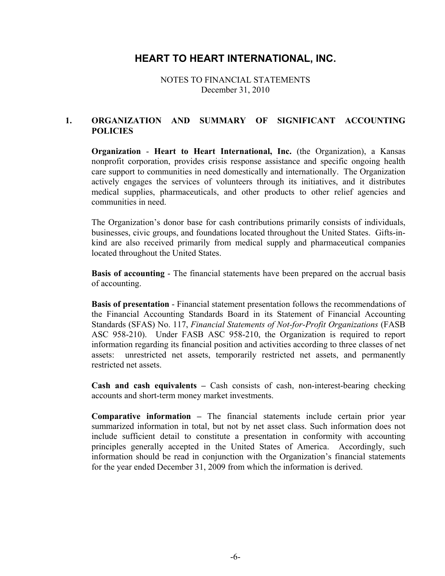NOTES TO FINANCIAL STATEMENTS December 31, 2010

#### **1. ORGANIZATION AND SUMMARY OF SIGNIFICANT ACCOUNTING POLICIES**

**Organization** - **Heart to Heart International, Inc.** (the Organization), a Kansas nonprofit corporation, provides crisis response assistance and specific ongoing health care support to communities in need domestically and internationally. The Organization actively engages the services of volunteers through its initiatives, and it distributes medical supplies, pharmaceuticals, and other products to other relief agencies and communities in need.

The Organization's donor base for cash contributions primarily consists of individuals, businesses, civic groups, and foundations located throughout the United States. Gifts-inkind are also received primarily from medical supply and pharmaceutical companies located throughout the United States.

**Basis of accounting** - The financial statements have been prepared on the accrual basis of accounting.

**Basis of presentation** - Financial statement presentation follows the recommendations of the Financial Accounting Standards Board in its Statement of Financial Accounting Standards (SFAS) No. 117, *Financial Statements of Not-for-Profit Organizations* (FASB ASC 958-210). Under FASB ASC 958-210, the Organization is required to report information regarding its financial position and activities according to three classes of net assets: unrestricted net assets, temporarily restricted net assets, and permanently restricted net assets.

**Cash and cash equivalents –** Cash consists of cash, non-interest-bearing checking accounts and short-term money market investments.

**Comparative information –** The financial statements include certain prior year summarized information in total, but not by net asset class. Such information does not include sufficient detail to constitute a presentation in conformity with accounting principles generally accepted in the United States of America. Accordingly, such information should be read in conjunction with the Organization's financial statements for the year ended December 31, 2009 from which the information is derived.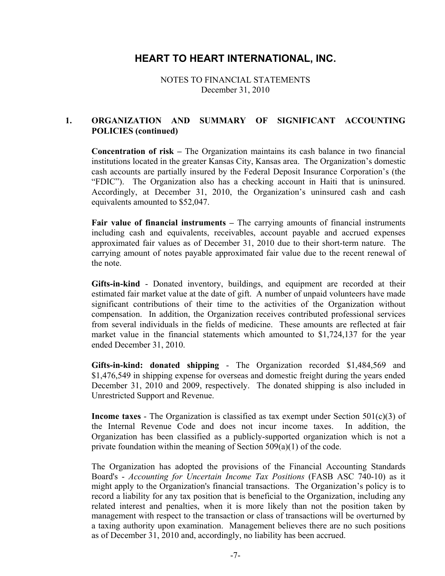NOTES TO FINANCIAL STATEMENTS December 31, 2010

#### **1. ORGANIZATION AND SUMMARY OF SIGNIFICANT ACCOUNTING POLICIES (continued)**

**Concentration of risk –** The Organization maintains its cash balance in two financial institutions located in the greater Kansas City, Kansas area. The Organization's domestic cash accounts are partially insured by the Federal Deposit Insurance Corporation's (the "FDIC"). The Organization also has a checking account in Haiti that is uninsured. Accordingly, at December 31, 2010, the Organization's uninsured cash and cash equivalents amounted to \$52,047.

**Fair value of financial instruments –** The carrying amounts of financial instruments including cash and equivalents, receivables, account payable and accrued expenses approximated fair values as of December 31, 2010 due to their short-term nature. The carrying amount of notes payable approximated fair value due to the recent renewal of the note.

**Gifts-in-kind** - Donated inventory, buildings, and equipment are recorded at their estimated fair market value at the date of gift. A number of unpaid volunteers have made significant contributions of their time to the activities of the Organization without compensation. In addition, the Organization receives contributed professional services from several individuals in the fields of medicine. These amounts are reflected at fair market value in the financial statements which amounted to \$1,724,137 for the year ended December 31, 2010.

**Gifts-in-kind: donated shipping** - The Organization recorded \$1,484,569 and \$1,476,549 in shipping expense for overseas and domestic freight during the years ended December 31, 2010 and 2009, respectively. The donated shipping is also included in Unrestricted Support and Revenue.

**Income taxes** - The Organization is classified as tax exempt under Section 501(c)(3) of the Internal Revenue Code and does not incur income taxes. In addition, the Organization has been classified as a publicly-supported organization which is not a private foundation within the meaning of Section 509(a)(1) of the code.

The Organization has adopted the provisions of the Financial Accounting Standards Board's - *Accounting for Uncertain Income Tax Positions* (FASB ASC 740-10) as it might apply to the Organization's financial transactions. The Organization's policy is to record a liability for any tax position that is beneficial to the Organization, including any related interest and penalties, when it is more likely than not the position taken by management with respect to the transaction or class of transactions will be overturned by a taxing authority upon examination. Management believes there are no such positions as of December 31, 2010 and, accordingly, no liability has been accrued.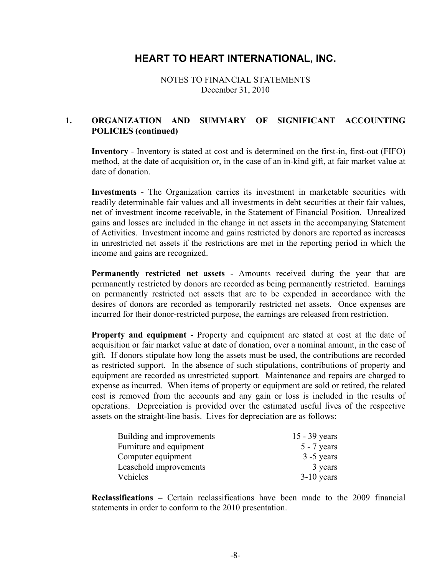NOTES TO FINANCIAL STATEMENTS December 31, 2010

#### **1. ORGANIZATION AND SUMMARY OF SIGNIFICANT ACCOUNTING POLICIES (continued)**

**Inventory** - Inventory is stated at cost and is determined on the first-in, first-out (FIFO) method, at the date of acquisition or, in the case of an in-kind gift, at fair market value at date of donation.

**Investments** - The Organization carries its investment in marketable securities with readily determinable fair values and all investments in debt securities at their fair values, net of investment income receivable, in the Statement of Financial Position. Unrealized gains and losses are included in the change in net assets in the accompanying Statement of Activities. Investment income and gains restricted by donors are reported as increases in unrestricted net assets if the restrictions are met in the reporting period in which the income and gains are recognized.

**Permanently restricted net assets** - Amounts received during the year that are permanently restricted by donors are recorded as being permanently restricted. Earnings on permanently restricted net assets that are to be expended in accordance with the desires of donors are recorded as temporarily restricted net assets. Once expenses are incurred for their donor-restricted purpose, the earnings are released from restriction.

**Property and equipment** - Property and equipment are stated at cost at the date of acquisition or fair market value at date of donation, over a nominal amount, in the case of gift. If donors stipulate how long the assets must be used, the contributions are recorded as restricted support. In the absence of such stipulations, contributions of property and equipment are recorded as unrestricted support. Maintenance and repairs are charged to expense as incurred. When items of property or equipment are sold or retired, the related cost is removed from the accounts and any gain or loss is included in the results of operations. Depreciation is provided over the estimated useful lives of the respective assets on the straight-line basis. Lives for depreciation are as follows:

| Building and improvements | $15 - 39$ years |
|---------------------------|-----------------|
| Furniture and equipment   | $5 - 7$ years   |
| Computer equipment        | $3 - 5$ years   |
| Leasehold improvements    | 3 years         |
| Vehicles                  | $3-10$ years    |

**Reclassifications –** Certain reclassifications have been made to the 2009 financial statements in order to conform to the 2010 presentation.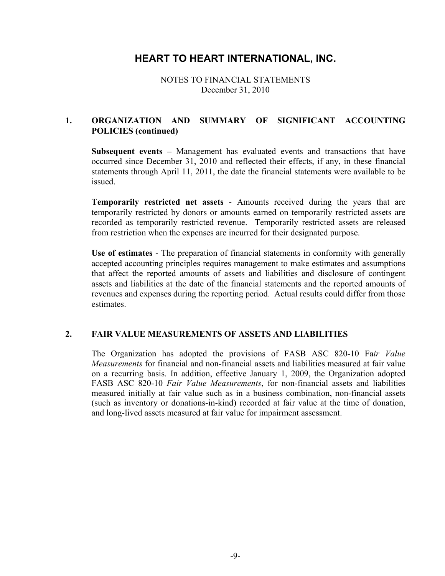NOTES TO FINANCIAL STATEMENTS December 31, 2010

#### **1. ORGANIZATION AND SUMMARY OF SIGNIFICANT ACCOUNTING POLICIES (continued)**

**Subsequent events –** Management has evaluated events and transactions that have occurred since December 31, 2010 and reflected their effects, if any, in these financial statements through April 11, 2011, the date the financial statements were available to be issued.

**Temporarily restricted net assets** - Amounts received during the years that are temporarily restricted by donors or amounts earned on temporarily restricted assets are recorded as temporarily restricted revenue. Temporarily restricted assets are released from restriction when the expenses are incurred for their designated purpose.

**Use of estimates** - The preparation of financial statements in conformity with generally accepted accounting principles requires management to make estimates and assumptions that affect the reported amounts of assets and liabilities and disclosure of contingent assets and liabilities at the date of the financial statements and the reported amounts of revenues and expenses during the reporting period. Actual results could differ from those estimates.

#### **2. FAIR VALUE MEASUREMENTS OF ASSETS AND LIABILITIES**

The Organization has adopted the provisions of FASB ASC 820-10 Fa*ir Value Measurements* for financial and non-financial assets and liabilities measured at fair value on a recurring basis. In addition, effective January 1, 2009, the Organization adopted FASB ASC 820-10 *Fair Value Measurements*, for non-financial assets and liabilities measured initially at fair value such as in a business combination, non-financial assets (such as inventory or donations-in-kind) recorded at fair value at the time of donation, and long-lived assets measured at fair value for impairment assessment.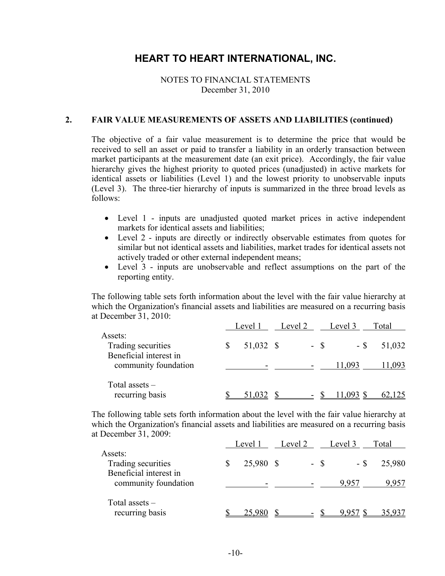#### NOTES TO FINANCIAL STATEMENTS December 31, 2010

#### **2. FAIR VALUE MEASUREMENTS OF ASSETS AND LIABILITIES (continued)**

The objective of a fair value measurement is to determine the price that would be received to sell an asset or paid to transfer a liability in an orderly transaction between market participants at the measurement date (an exit price). Accordingly, the fair value hierarchy gives the highest priority to quoted prices (unadjusted) in active markets for identical assets or liabilities (Level 1) and the lowest priority to unobservable inputs (Level 3). The three-tier hierarchy of inputs is summarized in the three broad levels as follows:

- $\bullet$  Level 1 inputs are unadjusted quoted market prices in active independent markets for identical assets and liabilities;
- Level 2 inputs are directly or indirectly observable estimates from quotes for similar but not identical assets and liabilities, market trades for identical assets not actively traded or other external independent means;
- Level 3 inputs are unobservable and reflect assumptions on the part of the reporting entity.

The following table sets forth information about the level with the fair value hierarchy at which the Organization's financial assets and liabilities are measured on a recurring basis at December 31, 2010:

|                                                         | Level 1   | Level 2 |        | Level 3 | Total  |
|---------------------------------------------------------|-----------|---------|--------|---------|--------|
| Assets:<br>Trading securities<br>Beneficial interest in | 51,032 \$ |         | $-$ \$ | - \$    | 51,032 |
| community foundation                                    |           |         |        | 11,093  | 1,093  |
| Total assets $-$<br>recurring basis                     | 51,032    |         |        | 11,093  |        |

The following table sets forth information about the level with the fair value hierarchy at which the Organization's financial assets and liabilities are measured on a recurring basis at December 31, 2009:

|                                                         | Level 1   | Level 2 | Level 3 | Total  |
|---------------------------------------------------------|-----------|---------|---------|--------|
| Assets:<br>Trading securities<br>Beneficial interest in | 25,980 \$ | $-$ \$  | - \$    | 25,980 |
| community foundation                                    |           |         | 9.957   | 9,957  |
| Total assets $-$<br>recurring basis                     | 25,980    |         | 9957    |        |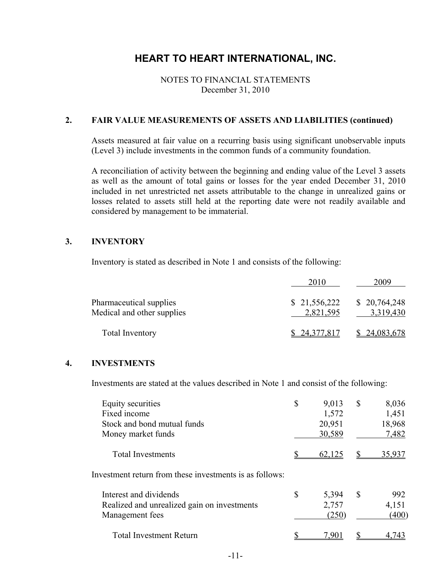#### NOTES TO FINANCIAL STATEMENTS December 31, 2010

#### **2. FAIR VALUE MEASUREMENTS OF ASSETS AND LIABILITIES (continued)**

Assets measured at fair value on a recurring basis using significant unobservable inputs (Level 3) include investments in the common funds of a community foundation.

A reconciliation of activity between the beginning and ending value of the Level 3 assets as well as the amount of total gains or losses for the year ended December 31, 2010 included in net unrestricted net assets attributable to the change in unrealized gains or losses related to assets still held at the reporting date were not readily available and considered by management to be immaterial.

#### **3. INVENTORY**

Inventory is stated as described in Note 1 and consists of the following:

|                                                       | 2010                      | 2009                      |
|-------------------------------------------------------|---------------------------|---------------------------|
| Pharmaceutical supplies<br>Medical and other supplies | \$21,556,222<br>2,821,595 | \$20,764,248<br>3,319,430 |
| <b>Total Inventory</b>                                | \$24,377,817              | \$24,083,678              |

#### **4. INVESTMENTS**

Investments are stated at the values described in Note 1 and consist of the following:

| Equity securities<br>Fixed income<br>Stock and bond mutual funds<br>Money market funds   | \$            | 9,013<br>1,572<br>20,951<br>30,589 | \$ | 8,036<br>1,451<br>18,968<br>7,482 |
|------------------------------------------------------------------------------------------|---------------|------------------------------------|----|-----------------------------------|
| <b>Total Investments</b>                                                                 |               | 62,125                             |    | 35,937                            |
| Investment return from these investments is as follows:                                  |               |                                    |    |                                   |
| Interest and dividends<br>Realized and unrealized gain on investments<br>Management fees | <sup>\$</sup> | 5,394<br>2,757<br>(250)            | S  | 992<br>4,151<br>(400)             |
| <b>Total Investment Return</b>                                                           |               | 790                                |    |                                   |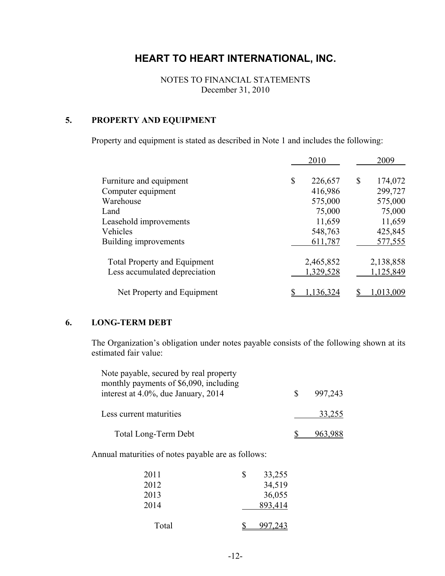NOTES TO FINANCIAL STATEMENTS December 31, 2010

#### **5. PROPERTY AND EQUIPMENT**

Property and equipment is stated as described in Note 1 and includes the following:

|                                     | 2010          | 2009          |
|-------------------------------------|---------------|---------------|
| Furniture and equipment             | \$<br>226,657 | \$<br>174,072 |
| Computer equipment                  | 416,986       | 299,727       |
| Warehouse                           | 575,000       | 575,000       |
| Land                                | 75,000        | 75,000        |
| Leasehold improvements              | 11,659        | 11,659        |
| Vehicles                            | 548,763       | 425,845       |
| Building improvements               | 611,787       | 577,555       |
| <b>Total Property and Equipment</b> | 2,465,852     | 2,138,858     |
| Less accumulated depreciation       | 1,329,528     | 1,125,849     |
| Net Property and Equipment          | 1,136,324     | 1,013,009     |

#### **6. LONG-TERM DEBT**

The Organization's obligation under notes payable consists of the following shown at its estimated fair value:

| Note payable, secured by real property<br>monthly payments of \$6,090, including<br>interest at 4.0%, due January, 2014 | 997,243 |
|-------------------------------------------------------------------------------------------------------------------------|---------|
| Less current maturities                                                                                                 | 33,255  |
| <b>Total Long-Term Debt</b>                                                                                             |         |

Annual maturities of notes payable are as follows:

| 2011  | \$<br>33,255 |
|-------|--------------|
| 2012  | 34,519       |
| 2013  | 36,055       |
| 2014  | 893,414      |
|       |              |
| Total | 997, 243     |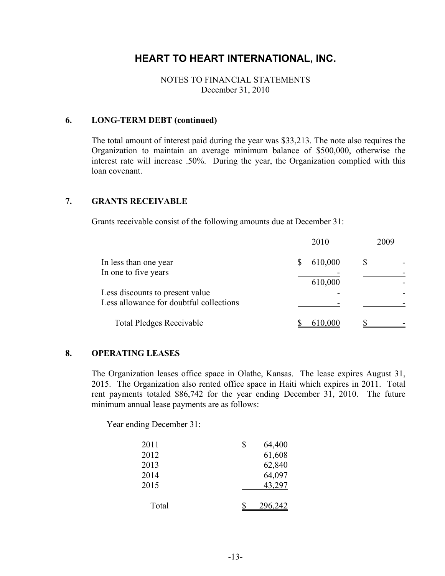#### NOTES TO FINANCIAL STATEMENTS December 31, 2010

#### **6. LONG-TERM DEBT (continued)**

The total amount of interest paid during the year was \$33,213. The note also requires the Organization to maintain an average minimum balance of \$500,000, otherwise the interest rate will increase .50%. During the year, the Organization complied with this loan covenant.

#### **7. GRANTS RECEIVABLE**

Grants receivable consist of the following amounts due at December 31:

|                                                                            | 2010    | 2009 |
|----------------------------------------------------------------------------|---------|------|
| In less than one year                                                      | 610,000 |      |
| In one to five years                                                       | 610,000 |      |
| Less discounts to present value<br>Less allowance for doubtful collections |         |      |
| <b>Total Pledges Receivable</b>                                            | 610,000 |      |

#### **8. OPERATING LEASES**

The Organization leases office space in Olathe, Kansas. The lease expires August 31, 2015. The Organization also rented office space in Haiti which expires in 2011. Total rent payments totaled \$86,742 for the year ending December 31, 2010. The future minimum annual lease payments are as follows:

Year ending December 31:

| 2011  | \$<br>64,400 |
|-------|--------------|
| 2012  | 61,608       |
| 2013  | 62,840       |
| 2014  | 64,097       |
| 2015  | 43,297       |
| Total | 296 242      |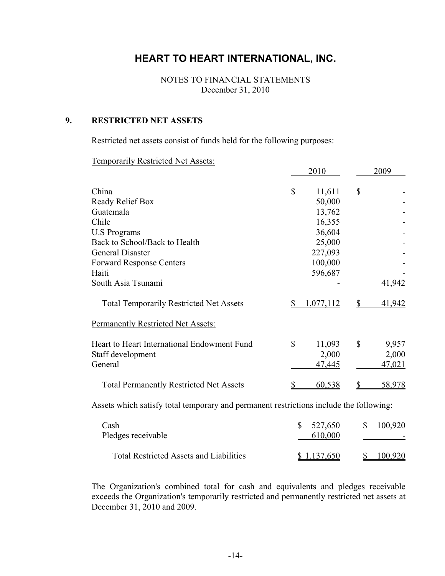NOTES TO FINANCIAL STATEMENTS December 31, 2010

#### **9. RESTRICTED NET ASSETS**

Restricted net assets consist of funds held for the following purposes:

Temporarily Restricted Net Assets:

|                                                                                        |              | 2010      |              | 2009    |
|----------------------------------------------------------------------------------------|--------------|-----------|--------------|---------|
| China                                                                                  | \$           | 11,611    | \$           |         |
| Ready Relief Box                                                                       |              | 50,000    |              |         |
| Guatemala                                                                              |              | 13,762    |              |         |
| Chile                                                                                  |              | 16,355    |              |         |
| <b>U.S Programs</b>                                                                    |              | 36,604    |              |         |
| Back to School/Back to Health                                                          |              | 25,000    |              |         |
| General Disaster                                                                       |              | 227,093   |              |         |
| <b>Forward Response Centers</b>                                                        |              | 100,000   |              |         |
| Haiti                                                                                  |              | 596,687   |              |         |
| South Asia Tsunami                                                                     |              |           |              | 41,942  |
| <b>Total Temporarily Restricted Net Assets</b>                                         |              | 1,077,112 | \$           | 41,942  |
| <b>Permanently Restricted Net Assets:</b>                                              |              |           |              |         |
| Heart to Heart International Endowment Fund                                            | $\mathbb{S}$ | 11,093    | $\mathbb{S}$ | 9,957   |
| Staff development                                                                      |              | 2,000     |              | 2,000   |
| General                                                                                |              | 47,445    |              | 47,021  |
| <b>Total Permanently Restricted Net Assets</b>                                         |              | 60,538    | \$           | 58,978  |
| Assets which satisfy total temporary and permanent restrictions include the following: |              |           |              |         |
| Cash                                                                                   | \$           | 527,650   | \$           | 100,920 |

| Pledges receivable                             | 610,000     |         |  |
|------------------------------------------------|-------------|---------|--|
| <b>Total Restricted Assets and Liabilities</b> | \$1,137,650 | 100,920 |  |

The Organization's combined total for cash and equivalents and pledges receivable exceeds the Organization's temporarily restricted and permanently restricted net assets at December 31, 2010 and 2009.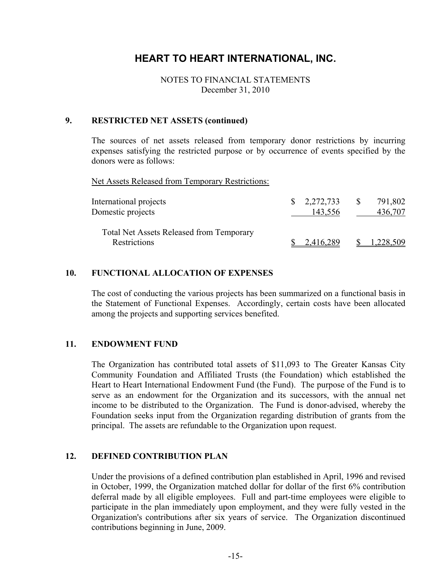#### NOTES TO FINANCIAL STATEMENTS December 31, 2010

#### **9. RESTRICTED NET ASSETS (continued)**

The sources of net assets released from temporary donor restrictions by incurring expenses satisfying the restricted purpose or by occurrence of events specified by the donors were as follows:

Net Assets Released from Temporary Restrictions:

| International projects<br>Domestic projects                     | $\frac{1}{2}$ , 2, 272, 733<br>143,556 | 791,802<br>436,707 |
|-----------------------------------------------------------------|----------------------------------------|--------------------|
| <b>Total Net Assets Released from Temporary</b><br>Restrictions | 2,416,289                              | 1,228,509          |

#### **10. FUNCTIONAL ALLOCATION OF EXPENSES**

The cost of conducting the various projects has been summarized on a functional basis in the Statement of Functional Expenses. Accordingly, certain costs have been allocated among the projects and supporting services benefited.

#### **11. ENDOWMENT FUND**

The Organization has contributed total assets of \$11,093 to The Greater Kansas City Community Foundation and Affiliated Trusts (the Foundation) which established the Heart to Heart International Endowment Fund (the Fund). The purpose of the Fund is to serve as an endowment for the Organization and its successors, with the annual net income to be distributed to the Organization. The Fund is donor-advised, whereby the Foundation seeks input from the Organization regarding distribution of grants from the principal. The assets are refundable to the Organization upon request.

#### **12. DEFINED CONTRIBUTION PLAN**

Under the provisions of a defined contribution plan established in April, 1996 and revised in October, 1999, the Organization matched dollar for dollar of the first 6% contribution deferral made by all eligible employees. Full and part-time employees were eligible to participate in the plan immediately upon employment, and they were fully vested in the Organization's contributions after six years of service. The Organization discontinued contributions beginning in June, 2009.